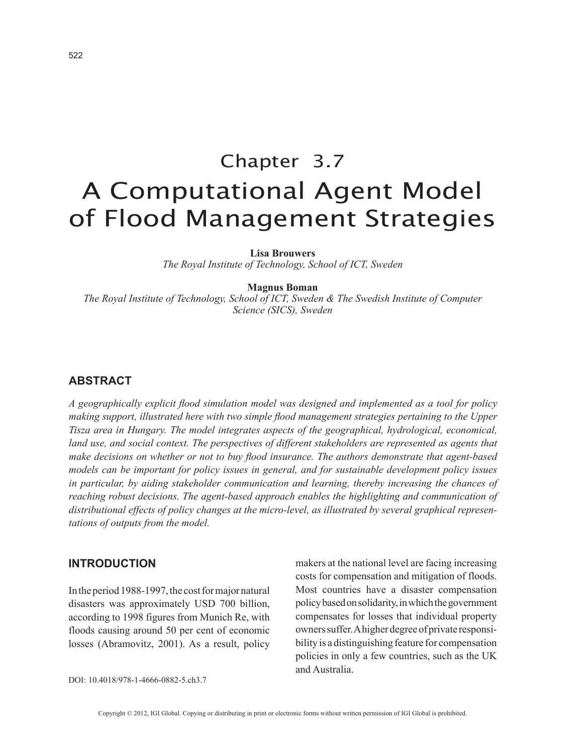# Chapter 3.7 A Computational Agent Model of Flood Management Strategies

**Lisa Brouwers**

*The Royal Institute of Technology, School of ICT, Sweden*

#### **Magnus Boman**

*The Royal Institute of Technology, School of ICT, Sweden & The Swedish Institute of Computer Science (SICS), Sweden*

#### **ABSTRACT**

*A geographically explicit flood simulation model was designed and implemented as a tool for policy making support, illustrated here with two simple flood management strategies pertaining to the Upper Tisza area in Hungary. The model integrates aspects of the geographical, hydrological, economical, land use, and social context. The perspectives of different stakeholders are represented as agents that make decisions on whether or not to buy flood insurance. The authors demonstrate that agent-based models can be important for policy issues in general, and for sustainable development policy issues in particular, by aiding stakeholder communication and learning, thereby increasing the chances of reaching robust decisions. The agent-based approach enables the highlighting and communication of distributional effects of policy changes at the micro-level, as illustrated by several graphical representations of outputs from the model.*

#### **INTRODUCTION**

In the period 1988-1997, the cost for major natural disasters was approximately USD 700 billion, according to 1998 figures from Munich Re, with floods causing around 50 per cent of economic losses (Abramovitz, 2001). As a result, policy makers at the national level are facing increasing costs for compensation and mitigation of floods. Most countries have a disaster compensation policy based on solidarity, in which the government compensates for losses that individual property owners suffer. A higher degree of private responsibility is a distinguishing feature for compensation policies in only a few countries, such as the UK and Australia.

DOI: 10.4018/978-1-4666-0882-5.ch3.7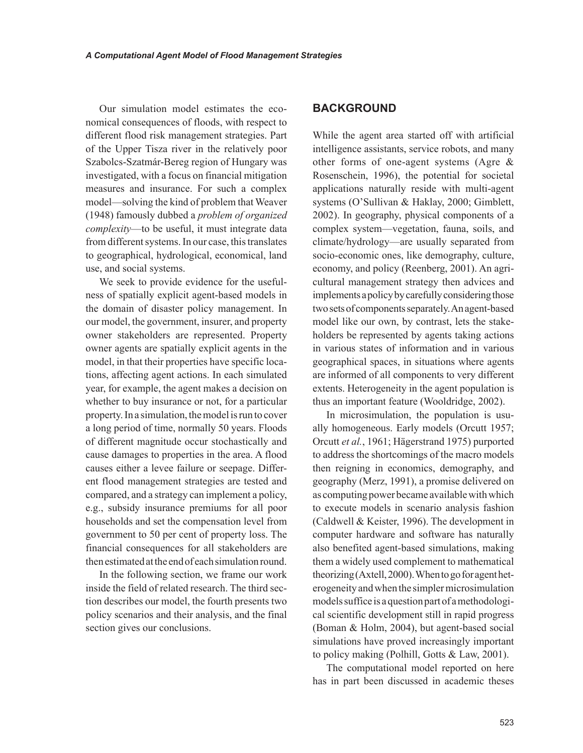Our simulation model estimates the economical consequences of floods, with respect to different flood risk management strategies. Part of the Upper Tisza river in the relatively poor Szabolcs-Szatmár-Bereg region of Hungary was investigated, with a focus on financial mitigation measures and insurance. For such a complex model—solving the kind of problem that Weaver (1948) famously dubbed a *problem of organized complexity*—to be useful, it must integrate data from different systems. In our case, this translates to geographical, hydrological, economical, land use, and social systems.

We seek to provide evidence for the usefulness of spatially explicit agent-based models in the domain of disaster policy management. In our model, the government, insurer, and property owner stakeholders are represented. Property owner agents are spatially explicit agents in the model, in that their properties have specific locations, affecting agent actions. In each simulated year, for example, the agent makes a decision on whether to buy insurance or not, for a particular property. In a simulation, the model is run to cover a long period of time, normally 50 years. Floods of different magnitude occur stochastically and cause damages to properties in the area. A flood causes either a levee failure or seepage. Different flood management strategies are tested and compared, and a strategy can implement a policy, e.g., subsidy insurance premiums for all poor households and set the compensation level from government to 50 per cent of property loss. The financial consequences for all stakeholders are then estimated at the end of each simulation round.

In the following section, we frame our work inside the field of related research. The third section describes our model, the fourth presents two policy scenarios and their analysis, and the final section gives our conclusions.

#### **BACKGROUND**

While the agent area started off with artificial intelligence assistants, service robots, and many other forms of one-agent systems (Agre & Rosenschein, 1996), the potential for societal applications naturally reside with multi-agent systems (O'Sullivan & Haklay, 2000; Gimblett, 2002). In geography, physical components of a complex system—vegetation, fauna, soils, and climate/hydrology—are usually separated from socio-economic ones, like demography, culture, economy, and policy (Reenberg, 2001). An agricultural management strategy then advices and implements a policy by carefully considering those two sets of components separately. An agent-based model like our own, by contrast, lets the stakeholders be represented by agents taking actions in various states of information and in various geographical spaces, in situations where agents are informed of all components to very different extents. Heterogeneity in the agent population is thus an important feature (Wooldridge, 2002).

In microsimulation, the population is usually homogeneous. Early models (Orcutt 1957; Orcutt *et al.*, 1961; Hägerstrand 1975) purported to address the shortcomings of the macro models then reigning in economics, demography, and geography (Merz, 1991), a promise delivered on as computing power became available with which to execute models in scenario analysis fashion (Caldwell & Keister, 1996). The development in computer hardware and software has naturally also benefited agent-based simulations, making them a widely used complement to mathematical theorizing (Axtell, 2000). When to go for agent heterogeneity and when the simpler microsimulation models suffice is a question part of a methodological scientific development still in rapid progress (Boman & Holm, 2004), but agent-based social simulations have proved increasingly important to policy making (Polhill, Gotts & Law, 2001).

The computational model reported on here has in part been discussed in academic theses